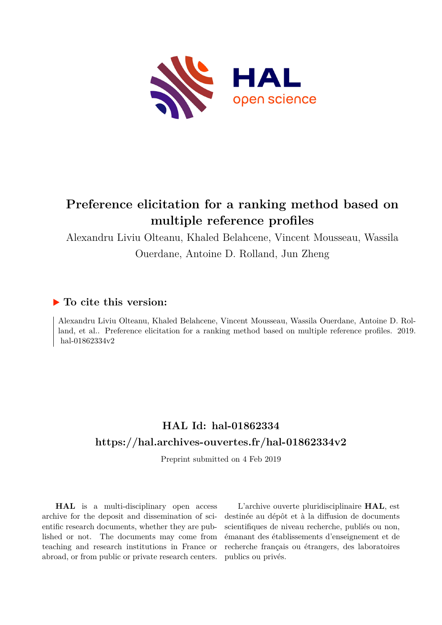

# **Preference elicitation for a ranking method based on multiple reference profiles**

Alexandru Liviu Olteanu, Khaled Belahcene, Vincent Mousseau, Wassila Ouerdane, Antoine D. Rolland, Jun Zheng

# **To cite this version:**

Alexandru Liviu Olteanu, Khaled Belahcene, Vincent Mousseau, Wassila Ouerdane, Antoine D. Rolland, et al.. Preference elicitation for a ranking method based on multiple reference profiles. 2019. hal-01862334v2

# **HAL Id: hal-01862334 <https://hal.archives-ouvertes.fr/hal-01862334v2>**

Preprint submitted on 4 Feb 2019

**HAL** is a multi-disciplinary open access archive for the deposit and dissemination of scientific research documents, whether they are published or not. The documents may come from teaching and research institutions in France or abroad, or from public or private research centers.

L'archive ouverte pluridisciplinaire **HAL**, est destinée au dépôt et à la diffusion de documents scientifiques de niveau recherche, publiés ou non, émanant des établissements d'enseignement et de recherche français ou étrangers, des laboratoires publics ou privés.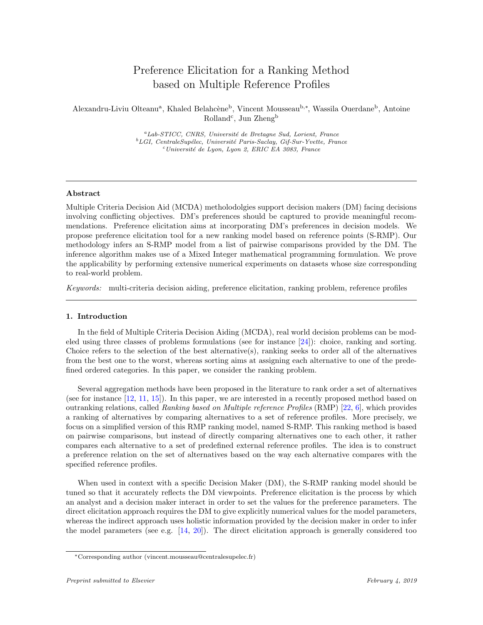# Preference Elicitation for a Ranking Method based on Multiple Reference Profiles

Alexandru-Liviu Olteanu<sup>a</sup>, Khaled Belahcène<sup>b</sup>, Vincent Mousseau<sup>b,∗</sup>, Wassila Ouerdane<sup>b</sup>, Antoine Rolland<sup>c</sup>, Jun Zheng<sup>b</sup>

> ${}^a$ Lab-STICC, CNRS, Université de Bretagne Sud, Lorient, France  $^{b}LGI$ , CentraleSupélec, Université Paris-Saclay, Gif-Sur-Yvette, France  $c$ Université de Lyon, Lyon 2, ERIC EA 3083, France

#### Abstract

Multiple Criteria Decision Aid (MCDA) metholodolgies support decision makers (DM) facing decisions involving conflicting objectives. DM's preferences should be captured to provide meaningful recommendations. Preference elicitation aims at incorporating DM's preferences in decision models. We propose preference elicitation tool for a new ranking model based on reference points (S-RMP). Our methodology infers an S-RMP model from a list of pairwise comparisons provided by the DM. The inference algorithm makes use of a Mixed Integer mathematical programming formulation. We prove the applicability by performing extensive numerical experiments on datasets whose size corresponding to real-world problem.

Keywords: multi-criteria decision aiding, preference elicitation, ranking problem, reference profiles

# 1. Introduction

In the field of Multiple Criteria Decision Aiding (MCDA), real world decision problems can be modeled using three classes of problems formulations (see for instance [24]): choice, ranking and sorting. Choice refers to the selection of the best alternative(s), ranking seeks to order all of the alternatives from the best one to the worst, whereas sorting aims at assigning each alternative to one of the predefined ordered categories. In this paper, we consider the ranking problem.

Several aggregation methods have been proposed in the literature to rank order a set of alternatives (see for instance [12, 11, 15]). In this paper, we are interested in a recently proposed method based on outranking relations, called Ranking based on Multiple reference Profiles  $(RMP)$  [22, 6], which provides a ranking of alternatives by comparing alternatives to a set of reference profiles. More precisely, we focus on a simplified version of this RMP ranking model, named S-RMP. This ranking method is based on pairwise comparisons, but instead of directly comparing alternatives one to each other, it rather compares each alternative to a set of predefined external reference profiles. The idea is to construct a preference relation on the set of alternatives based on the way each alternative compares with the specified reference profiles.

When used in context with a specific Decision Maker (DM), the S-RMP ranking model should be tuned so that it accurately reflects the DM viewpoints. Preference elicitation is the process by which an analyst and a decision maker interact in order to set the values for the preference parameters. The direct elicitation approach requires the DM to give explicitly numerical values for the model parameters, whereas the indirect approach uses holistic information provided by the decision maker in order to infer the model parameters (see e.g.  $[14, 20]$ ). The direct elicitation approach is generally considered too

<sup>∗</sup>Corresponding author (vincent.mousseau@centralesupelec.fr)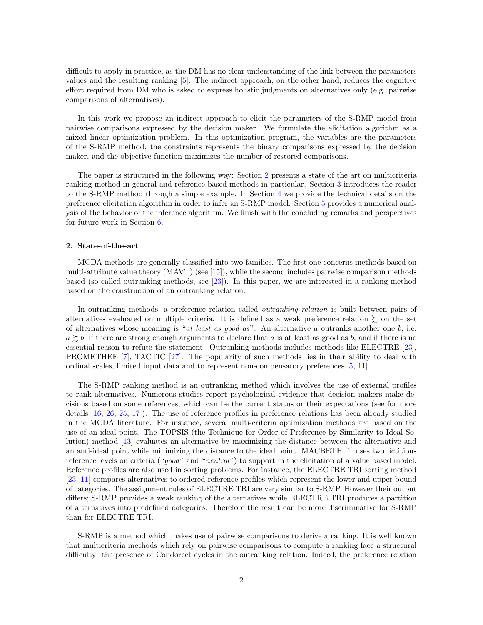difficult to apply in practice, as the DM has no clear understanding of the link between the parameters values and the resulting ranking [5]. The indirect approach, on the other hand, reduces the cognitive effort required from DM who is asked to express holistic judgments on alternatives only (e.g. pairwise comparisons of alternatives).

In this work we propose an indirect approach to elicit the parameters of the S-RMP model from pairwise comparisons expressed by the decision maker. We formulate the elicitation algorithm as a mixed linear optimization problem. In this optimization program, the variables are the parameters of the S-RMP method, the constraints represents the binary comparisons expressed by the decision maker, and the objective function maximizes the number of restored comparisons.

The paper is structured in the following way: Section 2 presents a state of the art on multicriteria ranking method in general and reference-based methods in particular. Section 3 introduces the reader to the S-RMP method through a simple example. In Section 4 we provide the technical details on the preference elicitation algorithm in order to infer an S-RMP model. Section 5 provides a numerical analysis of the behavior of the inference algorithm. We finish with the concluding remarks and perspectives for future work in Section 6.

### 2. State-of-the-art

MCDA methods are generally classified into two families. The first one concerns methods based on multi-attribute value theory  $(MAVT)$  (see [15]), while the second includes pairwise comparison methods based (so called outranking methods, see [23]). In this paper, we are interested in a ranking method based on the construction of an outranking relation.

In outranking methods, a preference relation called outranking relation is built between pairs of alternatives evaluated on multiple criteria. It is defined as a weak preference relation  $\succsim$  on the set of alternatives whose meaning is "at least as good as". An alternative a outranks another one  $b$ , i.e.  $a \gtrsim b$ , if there are strong enough arguments to declare that a is at least as good as b, and if there is no essential reason to refute the statement. Outranking methods includes methods like ELECTRE [23], PROMETHEE [7], TACTIC [27]. The popularity of such methods lies in their ability to deal with ordinal scales, limited input data and to represent non-compensatory preferences [5, 11].

The S-RMP ranking method is an outranking method which involves the use of external profiles to rank alternatives. Numerous studies report psychological evidence that decision makers make decisions based on some references, which can be the current status or their expectations (see for more details [16, 26, 25, 17]). The use of reference profiles in preference relations has been already studied in the MCDA literature. For instance, several multi-criteria optimization methods are based on the use of an ideal point. The TOPSIS (the Technique for Order of Preference by Similarity to Ideal Solution) method [13] evaluates an alternative by maximizing the distance between the alternative and an anti-ideal point while minimizing the distance to the ideal point. MACBETH [1] uses two fictitious reference levels on criteria ("good" and "neutral") to support in the elicitation of a value based model. Reference profiles are also used in sorting problems. For instance, the ELECTRE TRI sorting method [23, 11] compares alternatives to ordered reference profiles which represent the lower and upper bound of categories. The assignment rules of ELECTRE TRI are very similar to S-RMP. However their output differs; S-RMP provides a weak ranking of the alternatives while ELECTRE TRI produces a partition of alternatives into predefined categories. Therefore the result can be more discriminative for S-RMP than for ELECTRE TRI.

S-RMP is a method which makes use of pairwise comparisons to derive a ranking. It is well known that multicriteria methods which rely on pairwise comparisons to compute a ranking face a structural difficulty: the presence of Condorcet cycles in the outranking relation. Indeed, the preference relation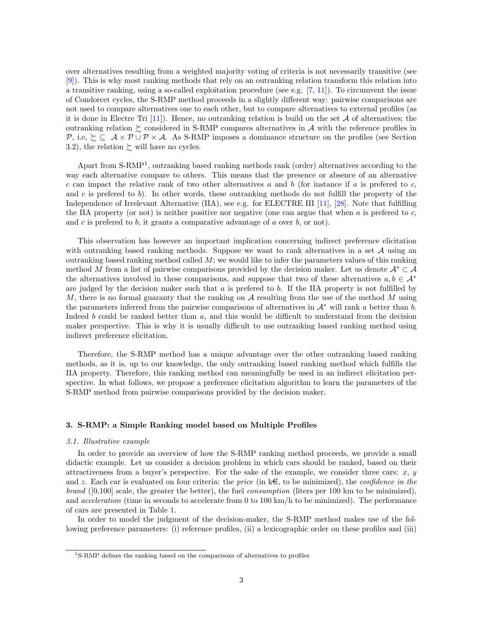over alternatives resulting from a weighted majority voting of criteria is not necessarily transitive (see [9]). This is why most ranking methods that rely on an outranking relation transform this relation into a transitive ranking, using a so-called exploitation procedure (see e.g.  $[7, 11]$ ). To circumvent the issue of Condorcet cycles, the S-RMP method proceeds in a slightly different way: pairwise comparisons are not used to compare alternatives one to each other, but to compare alternatives to external profiles (as it is done in Electre Tri  $[11]$ ). Hence, no outranking relation is build on the set A of alternatives; the outranking relation  $\succeq$  considered in S-RMP compares alternatives in A with the reference profiles in P, i.e,  $\Sigma \subseteq A \times P \cup P \times A$ . As S-RMP imposes a dominance structure on the profiles (see Section 3.2), the relation  $\succsim$  will have no cycles.

Apart from S-RMP<sup>1</sup>, outranking based ranking methods rank (order) alternatives according to the way each alternative compare to others. This means that the presence or absence of an alternative c can impact the relative rank of two other alternatives a and b (for instance if a is prefered to c, and c is prefered to b). In other words, these outranking methods do not fulfill the property of the Independence of Irrelevant Alternative (IIA), see e.g. for ELECTRE III [11], [28]. Note that fulfilling the IIA property (or not) is neither positive nor negative (one can argue that when  $a$  is prefered to  $c$ , and c is preferred to b, it grants a comparative advantage of a over b, or not).

This observation has however an important implication concerning indirect preference elicitation with outranking based ranking methods. Suppose we want to rank alternatives in a set  $A$  using an outranking based ranking method called  $M$ ; we would like to infer the parameters values of this ranking method M from a list of pairwise comparisons provided by the decision maker. Let us denote  $\mathcal{A}^* \subset \mathcal{A}$ the alternatives involved in these comparisons, and suppose that two of these alternatives  $a, b \in A^*$ are judged by the decision maker such that  $a$  is prefered to  $b$ . If the IIA property is not fulfilled by M, there is no formal guaranty that the ranking on A resulting from the use of the method M using the parameters inferred from the pairwise comparisons of alternatives in  $A^*$  will rank a better than b. Indeed b could be ranked better than  $a$ , and this would be difficult to understand from the decision maker perspective. This is why it is usually difficult to use outranking based ranking method using indirect preference elicitation.

Therefore, the S-RMP method has a unique advantage over the other outranking based ranking methods, as it is, up to our knowledge, the only outranking based ranking method which fulfills the IIA property. Therefore, this ranking method can meaningfully be used in an indirect elicitation perspective. In what follows, we propose a preference elicitation algorithm to learn the parameters of the S-RMP method from pairwise comparisons provided by the decision maker.

### 3. S-RMP: a Simple Ranking model based on Multiple Profiles

## 3.1. Illustrative example

In order to provide an overview of how the S-RMP ranking method proceeds, we provide a small didactic example. Let us consider a decision problem in which cars should be ranked, based on their attractiveness from a buyer's perspective. For the sake of the example, we consider three cars:  $x, y$ and z. Each car is evaluated on four criteria: the price (in  $k\in$ , to be minimized), the confidence in the *brand* ([0,100] scale, the greater the better), the fuel *consumption* (liters per 100 km to be minimized), and acceleration (time in seconds to accelerate from 0 to 100 km/h to be minimized). The performance of cars are presented in Table 1.

In order to model the judgment of the decision-maker, the S-RMP method makes use of the following preference parameters: (i) reference profiles, (ii) a lexicographic order on these profiles and (iii)

<sup>&</sup>lt;sup>1</sup>S-RMP defines the ranking based on the comparisons of alternatives to profiles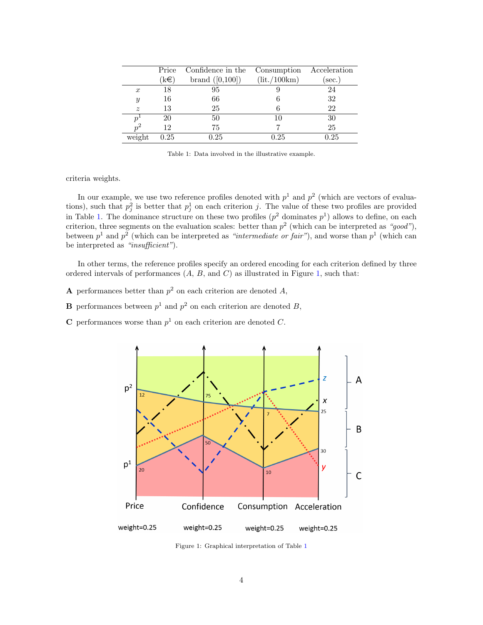|                  | Price | Confidence in the | Consumption  | Acceleration |
|------------------|-------|-------------------|--------------|--------------|
|                  | (k€)  | brand $([0,100])$ | (lit./100km) | sec.         |
| $\boldsymbol{x}$ | 18    | 95                |              | 24           |
| $\boldsymbol{y}$ | 16    | 66                |              | 32           |
| $\boldsymbol{z}$ | 13    | 25                |              | 22           |
| $\boldsymbol{p}$ | 20    | 50                | 10           | 30           |
| $n^2$            | 12    | 75                |              | 25           |
| weight           | 0.25  | 0.25              | 0.25         | 0.25         |

Table 1: Data involved in the illustrative example.

criteria weights.

In our example, we use two reference profiles denoted with  $p<sup>1</sup>$  and  $p<sup>2</sup>$  (which are vectors of evaluations), such that  $p_j^2$  is better that  $p_j^1$  on each criterion j. The value of these two profiles are provided in Table 1. The dominance structure on these two profiles  $(p^2$  dominates  $p^1$ ) allows to define, on each criterion, three segments on the evaluation scales: better than  $p^2$  (which can be interpreted as "good"), between  $p<sup>1</sup>$  and  $p<sup>2</sup>$  (which can be interpreted as "intermediate or fair"), and worse than  $p<sup>1</sup>$  (which can be interpreted as "insufficient").

In other terms, the reference profiles specify an ordered encoding for each criterion defined by three ordered intervals of performances  $(A, B, \text{ and } C)$  as illustrated in Figure 1, such that:

- **A** performances better than  $p^2$  on each criterion are denoted A,
- **B** performances between  $p^1$  and  $p^2$  on each criterion are denoted B,
- **C** performances worse than  $p<sup>1</sup>$  on each criterion are denoted C.



Figure 1: Graphical interpretation of Table 1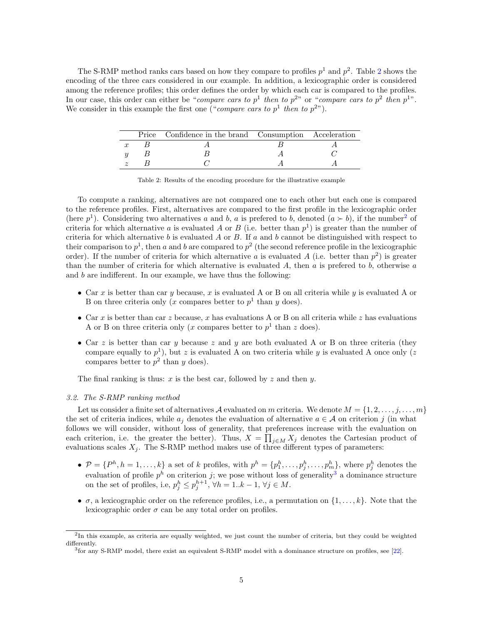The S-RMP method ranks cars based on how they compare to profiles  $p^1$  and  $p^2$ . Table 2 shows the encoding of the three cars considered in our example. In addition, a lexicographic order is considered among the reference profiles; this order defines the order by which each car is compared to the profiles. In our case, this order can either be "compare cars to  $p<sup>1</sup>$  then to  $p<sup>2</sup>$ " or "compare cars to  $p<sup>2</sup>$  then  $p<sup>1</sup>$ ". We consider in this example the first one ("*compare cars to*  $p<sup>1</sup>$  then to  $p<sup>2</sup>$ ").

|  | Price Confidence in the brand Consumption Acceleration |  |
|--|--------------------------------------------------------|--|
|  |                                                        |  |
|  |                                                        |  |
|  |                                                        |  |

Table 2: Results of the encoding procedure for the illustrative example

To compute a ranking, alternatives are not compared one to each other but each one is compared to the reference profiles. First, alternatives are compared to the first profile in the lexicographic order (here  $p<sup>1</sup>$ ). Considering two alternatives a and b, a is prefered to b, denoted  $(a \succ b)$ , if the number<sup>2</sup> of criteria for which alternative a is evaluated A or B (i.e. better than  $p<sup>1</sup>$ ) is greater than the number of criteria for which alternative b is evaluated A or B. If a and b cannot be distinguished with respect to their comparison to  $p^1$ , then a and b are compared to  $p^2$  (the second reference profile in the lexicographic order). If the number of criteria for which alternative a is evaluated A (i.e. better than  $p^2$ ) is greater than the number of criteria for which alternative is evaluated  $A$ , then  $a$  is prefered to  $b$ , otherwise  $a$ and b are indifferent. In our example, we have thus the following:

- Car x is better than car y because, x is evaluated A or B on all criteria while y is evaluated A or B on three criteria only (x compares better to  $p<sup>1</sup>$  than y does).
- Car x is better than car z because, x has evaluations A or B on all criteria while z has evaluations A or B on three criteria only (x compares better to  $p<sup>1</sup>$  than z does).
- Car z is better than car y because z and y are both evaluated A or B on three criteria (they compare equally to  $p^1$ ), but z is evaluated A on two criteria while y is evaluated A once only (z compares better to  $p^2$  than y does).

The final ranking is thus: x is the best car, followed by z and then y.

#### 3.2. The S-RMP ranking method

Let us consider a finite set of alternatives A evaluated on m criteria. We denote  $M = \{1, 2, \ldots, j, \ldots, m\}$ the set of criteria indices, while  $a_j$  denotes the evaluation of alternative  $a \in \mathcal{A}$  on criterion j (in what follows we will consider, without loss of generality, that preferences increase with the evaluation on each criterion, i.e. the greater the better). Thus,  $X = \prod_{j \in M} X_j$  denotes the Cartesian product of evaluations scales  $X_i$ . The S-RMP method makes use of three different types of parameters:

- $\mathcal{P} = \{P^h, h = 1, \ldots, k\}$  a set of k profiles, with  $p^h = \{p_1^h, \ldots, p_j^h, \ldots, p_m^h\}$ , where  $p_j^h$  denotes the evaluation of profile  $p^h$  on criterion j; we pose without loss of generality<sup>3</sup> a dominance structure on the set of profiles, i.e,  $p_j^h \leq p_j^{h+1}$ ,  $\forall h = 1..k - 1$ ,  $\forall j \in M$ .
- $\sigma$ , a lexicographic order on the reference profiles, i.e., a permutation on  $\{1, \ldots, k\}$ . Note that the lexicographic order  $\sigma$  can be any total order on profiles.

<sup>&</sup>lt;sup>2</sup>In this example, as criteria are equally weighted, we just count the number of criteria, but they could be weighted differently.

<sup>3</sup> for any S-RMP model, there exist an equivalent S-RMP model with a dominance structure on profiles, see [22].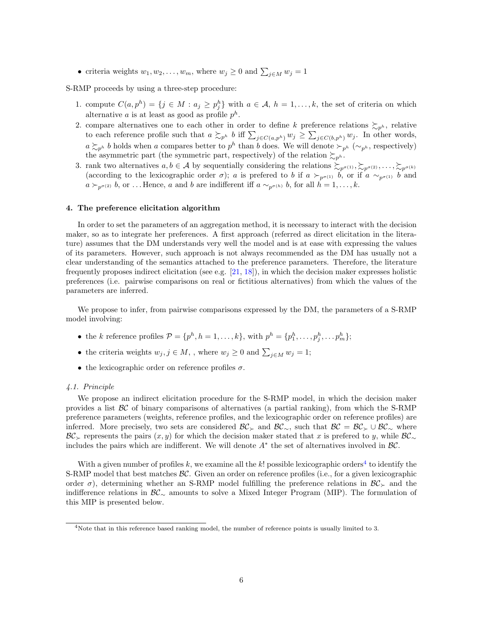• criteria weights  $w_1, w_2, \ldots, w_m$ , where  $w_j \geq 0$  and  $\sum_{j \in M} w_j = 1$ 

S-RMP proceeds by using a three-step procedure:

- 1. compute  $C(a, p^h) = \{j \in M : a_j \geq p_j^h\}$  with  $a \in \mathcal{A}, h = 1, \ldots, k$ , the set of criteria on which alternative a is at least as good as profile  $p^h$ .
- 2. compare alternatives one to each other in order to define k preference relations  $\gtrsim_{p^h}$ , relative to each reference profile such that  $a \succsim_{p^h} b$  iff  $\sum_{j \in C(a,p^h)} w_j \geq \sum_{j \in C(b,p^h)} w_j$ . In other words,  $a \succsim_{p^h} b$  holds when a compares better to  $p^h$  than b does. We will denote  $\succ_{p^h} (\sim_{p^h} ,$  respectively) the asymmetric part (the symmetric part, respectively) of the relation  $\succsim_{p^h}$ .
- 3. rank two alternatives  $a, b \in \mathcal{A}$  by sequentially considering the relations  $\sum_{p^{\sigma}(1)} \sum_{p^{\sigma}(2)} \ldots \sum_{p^{\sigma}(k)}$ (according to the lexicographic order  $\sigma$ ); a is prefered to b if  $a \succ_{p^{\sigma(1)}} b$ , or if  $a \sim_{p^{\sigma(1)}} b$  and  $a \succ_{p^{\sigma(2)}} b$ , or ... Hence, a and b are indifferent iff  $a \sim_{p^{\sigma(h)}} b$ , for all  $h = 1, \ldots, k$ .

### 4. The preference elicitation algorithm

In order to set the parameters of an aggregation method, it is necessary to interact with the decision maker, so as to integrate her preferences. A first approach (referred as direct elicitation in the literature) assumes that the DM understands very well the model and is at ease with expressing the values of its parameters. However, such approach is not always recommended as the DM has usually not a clear understanding of the semantics attached to the preference parameters. Therefore, the literature frequently proposes indirect elicitation (see e.g. [21, 18]), in which the decision maker expresses holistic preferences (i.e. pairwise comparisons on real or fictitious alternatives) from which the values of the parameters are inferred.

We propose to infer, from pairwise comparisons expressed by the DM, the parameters of a S-RMP model involving:

- the k reference profiles  $\mathcal{P} = \{p^h, h = 1, \ldots, k\}$ , with  $p^h = \{p_1^h, \ldots, p_j^h, \ldots, p_m^h\};$
- the criteria weights  $w_j, j \in M$ , , where  $w_j \geq 0$  and  $\sum_{j \in M} w_j = 1$ ;
- the lexicographic order on reference profiles  $\sigma$ .

#### 4.1. Principle

We propose an indirect elicitation procedure for the S-RMP model, in which the decision maker provides a list  $\beta C$  of binary comparisons of alternatives (a partial ranking), from which the S-RMP preference parameters (weights, reference profiles, and the lexicographic order on reference profiles) are inferred. More precisely, two sets are considered  $\mathcal{BC}_\sim$  and  $\mathcal{BC}_\sim$ , such that  $\mathcal{BC} = \mathcal{BC}_\sim \cup \mathcal{BC}_\sim$  where  $\mathcal{BC}_{\succ}$  represents the pairs  $(x, y)$  for which the decision maker stated that x is prefered to y, while  $\mathcal{BC}_{\sim}$ includes the pairs which are indifferent. We will denote  $A^*$  the set of alternatives involved in  $\mathcal{BC}$ .

With a given number of profiles k, we examine all the k! possible lexicographic orders<sup>4</sup> to identify the S-RMP model that best matches  $\mathcal{BC}$ . Given an order on reference profiles (i.e., for a given lexicographic order  $\sigma$ ), determining whether an S-RMP model fulfilling the preference relations in  $\mathcal{BC}_{\succ}$  and the indifference relations in BC<sup>∼</sup> amounts to solve a Mixed Integer Program (MIP). The formulation of this MIP is presented below.

<sup>4</sup>Note that in this reference based ranking model, the number of reference points is usually limited to 3.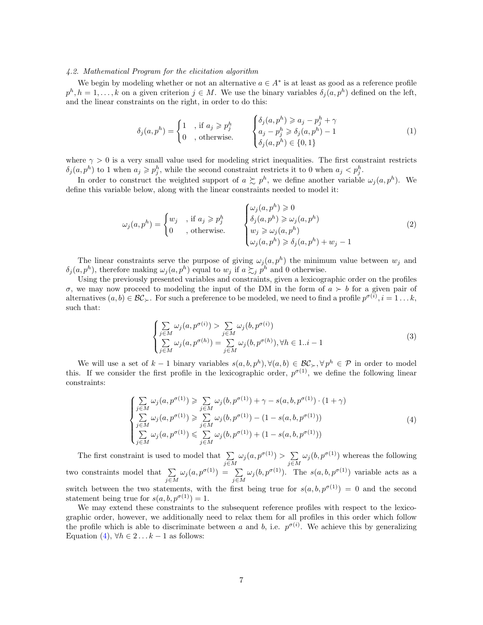#### 4.2. Mathematical Program for the elicitation algorithm

We begin by modeling whether or not an alternative  $a \in A^*$  is at least as good as a reference profile  $p^h, h = 1, \ldots, k$  on a given criterion  $j \in M$ . We use the binary variables  $\delta_j(a, p^h)$  defined on the left, and the linear constraints on the right, in order to do this:

$$
\delta_j(a, p^h) = \begin{cases}\n1 & , \text{ if } a_j \geqslant p_j^h \\
0 & , \text{ otherwise.} \n\end{cases}\n\qquad\n\begin{cases}\n\delta_j(a, p^h) \geqslant a_j - p_j^h + \gamma \\
a_j - p_j^h \geqslant \delta_j(a, p^h) - 1 \\
\delta_j(a, p^h) \in \{0, 1\}\n\end{cases}\n\tag{1}
$$

where  $\gamma > 0$  is a very small value used for modeling strict inequalities. The first constraint restricts  $\delta_j(a, p^h)$  to 1 when  $a_j \geqslant p_j^h$ , while the second constraint restricts it to 0 when  $a_j < p_j^h$ .

In order to construct the weighted support of  $a \succsim p^h$ , we define another variable  $\omega_j(a, p^h)$ . We define this variable below, along with the linear constraints needed to model it:

$$
\omega_j(a, p^h) = \begin{cases} w_j & \text{, if } a_j \geqslant p_j^h \\ 0 & \text{, otherwise.} \end{cases} \qquad \begin{cases} \omega_j(a, p^h) \geqslant 0 \\ \delta_j(a, p^h) \geqslant \omega_j(a, p^h) \\ w_j \geqslant \omega_j(a, p^h) \\ \omega_j(a, p^h) \geqslant \delta_j(a, p^h) + w_j - 1 \end{cases}
$$
 (2)

The linear constraints serve the purpose of giving  $\omega_j(a, p^h)$  the minimum value between  $w_j$  and  $\delta_j(a, p^h)$ , therefore making  $\omega_j(a, p^h)$  equal to  $w_j$  if  $a \succsim_j p^h$  and 0 otherwise.

Using the previously presented variables and constraints, given a lexicographic order on the profiles σ, we may now proceed to modeling the input of the DM in the form of  $a \succ b$  for a given pair of alternatives  $(a, b) \in \mathcal{BC}_{\succ}$ . For such a preference to be modeled, we need to find a profile  $p^{\sigma(i)}$ ,  $i = 1...k$ , such that:

$$
\begin{cases}\n\sum_{j \in M} \omega_j(a, p^{\sigma(i)}) > \sum_{j \in M} \omega_j(b, p^{\sigma(i)}) \\
\sum_{j \in M} \omega_j(a, p^{\sigma(h)}) = \sum_{j \in M} \omega_j(b, p^{\sigma(h)}), \forall h \in 1..i-1\n\end{cases} \tag{3}
$$

We will use a set of  $k-1$  binary variables  $s(a, b, p^h), \forall (a, b) \in \mathcal{BC}_{\succ}, \forall p^h \in \mathcal{P}$  in order to model this. If we consider the first profile in the lexicographic order,  $p^{\sigma(1)}$ , we define the following linear constraints:

$$
\begin{cases}\n\sum_{j \in M} \omega_j(a, p^{\sigma(1)}) \geq \sum_{j \in M} \omega_j(b, p^{\sigma(1)}) + \gamma - s(a, b, p^{\sigma(1)}) \cdot (1 + \gamma) \\
\sum_{j \in M} \omega_j(a, p^{\sigma(1)}) \geq \sum_{j \in M} \omega_j(b, p^{\sigma(1)}) - (1 - s(a, b, p^{\sigma(1)})) \\
\sum_{j \in M} \omega_j(a, p^{\sigma(1)}) \leq \sum_{j \in M} \omega_j(b, p^{\sigma(1)}) + (1 - s(a, b, p^{\sigma(1)}))\n\end{cases} (4)
$$

The first constraint is used to model that  $\Sigma$  $\sum_{j\in M}\omega_j(a,p^{\sigma(1)})>\sum_{j\in M}$  $\sum_{j\in M} \omega_j(b, p^{\sigma(1)})$  whereas the following two constraints model that  $\Sigma$  $\sum_{j\in M} \omega_j(a, p^{\sigma(1)}) = \sum_{j\in M} \omega_j(b, p^{\sigma(1)})$ . The  $s(a, b, p^{\sigma(1)})$  variable acts as a switch between the two statements, with the first being true for  $s(a, b, p^{\sigma(1)}) = 0$  and the second statement being true for  $s(a, b, p^{\sigma(1)}) = 1$ .

We may extend these constraints to the subsequent reference profiles with respect to the lexicographic order, however, we additionally need to relax them for all profiles in this order which follow the profile which is able to discriminate between a and b, i.e.  $p^{\sigma(i)}$ . We achieve this by generalizing Equation (4),  $\forall h \in 2... k-1$  as follows: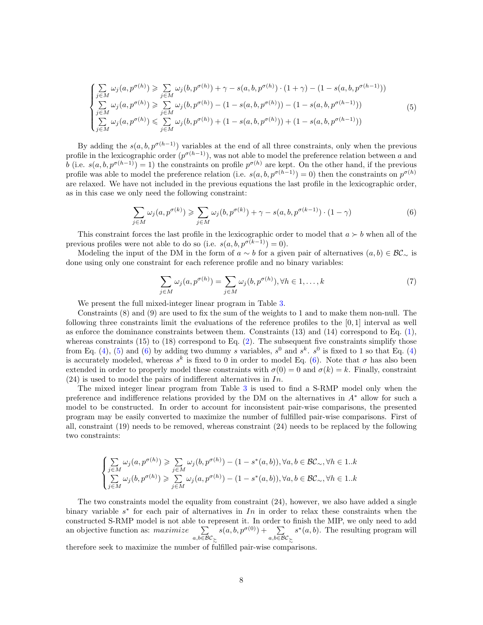$$
\begin{cases}\n\sum_{j \in M} \omega_j(a, p^{\sigma(h)}) \geq \sum_{j \in M} \omega_j(b, p^{\sigma(h)}) + \gamma - s(a, b, p^{\sigma(h)}) \cdot (1 + \gamma) - (1 - s(a, b, p^{\sigma(h-1)})) \\
\sum_{j \in M} \omega_j(a, p^{\sigma(h)}) \geq \sum_{j \in M} \omega_j(b, p^{\sigma(h)}) - (1 - s(a, b, p^{\sigma(h)})) - (1 - s(a, b, p^{\sigma(h-1)})) \\
\sum_{j \in M} \omega_j(a, p^{\sigma(h)}) \leq \sum_{j \in M} \omega_j(b, p^{\sigma(h)}) + (1 - s(a, b, p^{\sigma(h)})) + (1 - s(a, b, p^{\sigma(h-1)}))\n\end{cases}
$$
\n(5)

By adding the  $s(a, b, p^{\sigma(h-1)})$  variables at the end of all three constraints, only when the previous profile in the lexicographic order  $(p^{\sigma(h-1)})$ , was not able to model the preference relation between a and b (i.e.  $s(a, b, p^{\sigma(h-1)}) = 1$ ) the constraints on profile  $p^{\sigma(h)}$  are kept. On the other hand, if the previous profile was able to model the preference relation (i.e.  $s(a, b, p^{\sigma(h-1)}) = 0$ ) then the constraints on  $p^{\sigma(h)}$ are relaxed. We have not included in the previous equations the last profile in the lexicographic order, as in this case we only need the following constraint:

$$
\sum_{j \in M} \omega_j(a, p^{\sigma(k)}) \geq \sum_{j \in M} \omega_j(b, p^{\sigma(k)}) + \gamma - s(a, b, p^{\sigma(k-1)}) \cdot (1 - \gamma) \tag{6}
$$

This constraint forces the last profile in the lexicographic order to model that  $a \succ b$  when all of the previous profiles were not able to do so (i.e.  $s(a, b, p^{\sigma(k-1)}) = 0$ ).

Modeling the input of the DM in the form of  $a \sim b$  for a given pair of alternatives  $(a, b) \in \mathcal{BC}_\sim$  is done using only one constraint for each reference profile and no binary variables:

$$
\sum_{j \in M} \omega_j(a, p^{\sigma(h)}) = \sum_{j \in M} \omega_j(b, p^{\sigma(h)}), \forall h \in 1, \dots, k
$$
\n(7)

We present the full mixed-integer linear program in Table 3.

Constraints (8) and (9) are used to fix the sum of the weights to 1 and to make them non-null. The following three constraints limit the evaluations of the reference profiles to the [0, 1] interval as well as enforce the dominance constraints between them. Constraints  $(13)$  and  $(14)$  correspond to Eq.  $(1)$ , whereas constraints (15) to (18) correspond to Eq.  $(2)$ . The subsequent five constraints simplify those from Eq. (4), (5) and (6) by adding two dummy s variables,  $s^0$  and  $s^k$ .  $s^0$  is fixed to 1 so that Eq. (4) is accurately modeled, whereas  $s^k$  is fixed to 0 in order to model Eq. (6). Note that  $\sigma$  has also been extended in order to properly model these constraints with  $\sigma(0) = 0$  and  $\sigma(k) = k$ . Finally, constraint  $(24)$  is used to model the pairs of indifferent alternatives in In.

The mixed integer linear program from Table 3 is used to find a S-RMP model only when the preference and indifference relations provided by the DM on the alternatives in A<sup>∗</sup> allow for such a model to be constructed. In order to account for inconsistent pair-wise comparisons, the presented program may be easily converted to maximize the number of fulfilled pair-wise comparisons. First of all, constraint (19) needs to be removed, whereas constraint (24) needs to be replaced by the following two constraints:

$$
\begin{cases} \sum\limits_{j \in M} \omega_j(a, p^{\sigma(h)}) \geqslant \sum\limits_{j \in M} \omega_j(b, p^{\sigma(h)}) - (1 - s^*(a, b)), \forall a, b \in \mathcal{BC}_{\sim}, \forall h \in 1..k \\ \sum\limits_{j \in M} \omega_j(b, p^{\sigma(h)}) \geqslant \sum\limits_{j \in M} \omega_j(a, p^{\sigma(h)}) - (1 - s^*(a, b)), \forall a, b \in \mathcal{BC}_{\sim}, \forall h \in 1..k \end{cases}
$$

The two constraints model the equality from constraint (24), however, we also have added a single binary variable  $s^*$  for each pair of alternatives in In in order to relax these constraints when the constructed S-RMP model is not able to represent it. In order to finish the MIP, we only need to add an objective function as:  $maximize$   $\sum$  $a,b \in \mathcal{BC} \succ$  $s(a, b, p^{\sigma(0)}) + \sum$  $a,b∈BC$   $\succ$  $s^*(a, b)$ . The resulting program will

therefore seek to maximize the number of fulfilled pair-wise comparisons.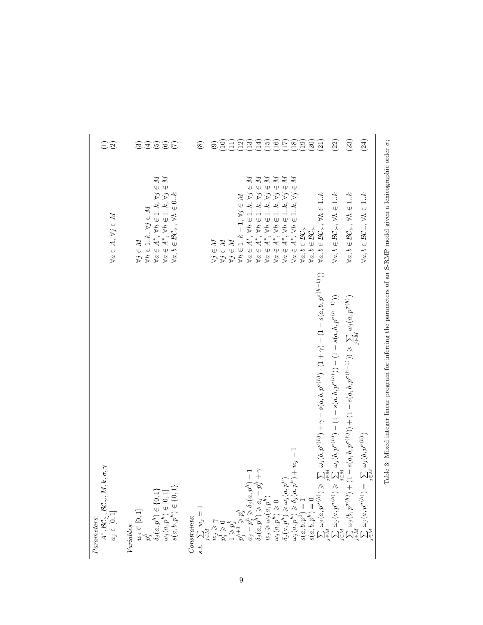| $k,\sigma,\gamma$<br>$A^*, \mathcal{B}\mathcal{C}_\succsim, \mathcal{B}\mathcal{C}_\sim, M, N \ a_j \in [0,1]$<br>Parameters:                                                                                                                                                                                                                                                                                                                                                                                                                      | $\forall a \in A, \forall j \in M$                                                                                                                                                                                                                                                                                                                                                                | $\Xi$ $\widetilde{\Omega}$           |
|----------------------------------------------------------------------------------------------------------------------------------------------------------------------------------------------------------------------------------------------------------------------------------------------------------------------------------------------------------------------------------------------------------------------------------------------------------------------------------------------------------------------------------------------------|---------------------------------------------------------------------------------------------------------------------------------------------------------------------------------------------------------------------------------------------------------------------------------------------------------------------------------------------------------------------------------------------------|--------------------------------------|
| Variables:<br>$w_j \in [0, 1]$<br>$p_j^h$<br>$\delta_j(a, p^h) \in \{0, 1\}$<br>$\delta_j(a, p^h) \in \{0, 1\}$<br>$\omega_j(a, p^h) \in [0, 1]$<br>$s(a, b, p^h) \in \{0, 1\}$                                                                                                                                                                                                                                                                                                                                                                    | $\forall a \in A^*, \forall h \in 1k, \forall j \in M$<br>$\forall a \in A^*, \, \forall h \in 1k, \, \forall j \in M$<br>$\forall a, b \in BC_{\succ}, \forall h \in 0k$<br>$\forall h \in 1k, \forall j \in M$<br>$\forall j \in M$                                                                                                                                                             | E O O C<br>ನಾ                        |
| $\begin{array}{l} \hbox{Comstrants:}\\ \mbox{s.t.} \begin{array}{l} \sum_{i \in I} w_{ij} = 1\\ \mbox{if} \begin{array}{l} \lambda \\ \lambda \\ \nu \end{array} \\ \mbox{if} \begin{array}{l} \lambda \\ \lambda \\ \nu \end{array} \\ \mbox{if} \begin{array}{l} \lambda \\ \lambda \\ \nu \end{array} \\ \mbox{if} \begin{array}{l} \lambda \\ \lambda \\ \nu \end{array} \\ \mbox{if} \begin{array}{l} \lambda \\ \lambda \\ \nu \end{array} \\ \mbox{if} \begin{array}{l} \lambda \\ \lambda \\ \nu \end{array} \\ \mbox{if} \begin{array}{l$ | $\begin{array}{l} \forall j\in M\\ \forall j\in M \end{array}$                                                                                                                                                                                                                                                                                                                                    | $\odot$<br>$\circledS$               |
|                                                                                                                                                                                                                                                                                                                                                                                                                                                                                                                                                    | $\mathbb{Z}$<br>$\forall h\in 1k-1,\,\forall j\in$<br>$\forall j \in M$                                                                                                                                                                                                                                                                                                                           |                                      |
|                                                                                                                                                                                                                                                                                                                                                                                                                                                                                                                                                    | $\in M$<br>$M \ni$<br>$\forall j$<br>$\forall j$                                                                                                                                                                                                                                                                                                                                                  |                                      |
|                                                                                                                                                                                                                                                                                                                                                                                                                                                                                                                                                    | $\in M$<br>ZZ<br>$\tilde{\psi}$<br>$\forall j$<br>$\forall j$<br>$\begin{array}{l} \forall a\in A^*,\ \forall h\in 1k,\ \forall\\ \forall a\in A^*,\ \forall h\in 1k,\ \forall\\ \forall a\in A^*,\ \forall h\in 1k,\ \forall\\ \forall a\in A^*,\ \forall h\in 1k,\ \forall\\ \forall a\in A^*,\ \forall h\in 1k,\ \forall\\ \forall a\in A^*,\ \forall h\in 1k,\ \forall \forall\\ \end{array}$ | SHQAAAQEAQ<br>SHQAAAQEA              |
|                                                                                                                                                                                                                                                                                                                                                                                                                                                                                                                                                    | $\mathbb{Z}$<br>$\omega$<br>$\cup$<br>$\forall j$<br>$\breve{\mathcal{L}}$<br>$\in 1k,$<br>$\forall a \in A^*, \forall h$<br>$\forall a,b\in\mathcal{BC}_\succ$                                                                                                                                                                                                                                   |                                      |
|                                                                                                                                                                                                                                                                                                                                                                                                                                                                                                                                                    | $\forall a, b \in BC_{\succ}, \forall h \in 1k$<br>$\forall a,b\in\mathcal{BC}_\succ$                                                                                                                                                                                                                                                                                                             | (20)<br>$\left( \frac{1}{2} \right)$ |
|                                                                                                                                                                                                                                                                                                                                                                                                                                                                                                                                                    | $\forall a, b \in BC_{\succ}, \forall h \in 1k$                                                                                                                                                                                                                                                                                                                                                   | (22)                                 |
|                                                                                                                                                                                                                                                                                                                                                                                                                                                                                                                                                    | $\forall a,b\in\mathcal{B}\mathcal{C}_{\succ},\,\forall h\in1k$                                                                                                                                                                                                                                                                                                                                   | (23)                                 |
|                                                                                                                                                                                                                                                                                                                                                                                                                                                                                                                                                    | $\forall a, b \in BC_{\sim}, \forall h \in 1k$                                                                                                                                                                                                                                                                                                                                                    | (24)                                 |

Table 3: Mixed integer linear program for inferring the parameters of an S-RMP model given a lexicographic order  $\sigma$ ; Table 3: Mixed integer linear program for inferring the parameters of an S-RMP model given a lexicographic order σ;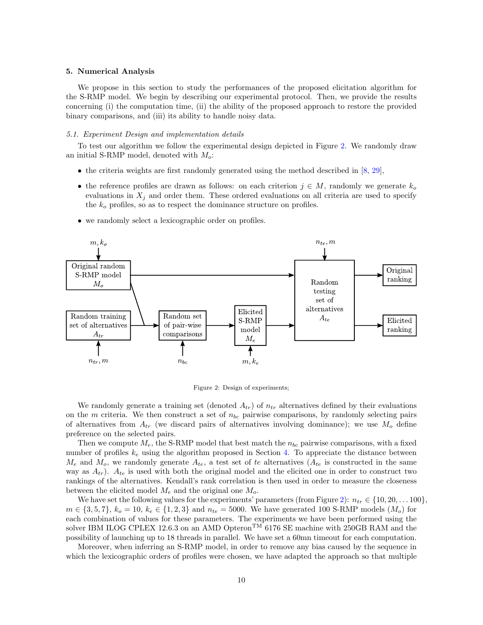#### 5. Numerical Analysis

We propose in this section to study the performances of the proposed elicitation algorithm for the S-RMP model. We begin by describing our experimental protocol. Then, we provide the results concerning (i) the computation time, (ii) the ability of the proposed approach to restore the provided binary comparisons, and (iii) its ability to handle noisy data.

#### 5.1. Experiment Design and implementation details

To test our algorithm we follow the experimental design depicted in Figure 2. We randomly draw an initial S-RMP model, denoted with  $M_o$ :

- the criteria weights are first randomly generated using the method described in  $[8, 29]$ ,
- the reference profiles are drawn as follows: on each criterion  $j \in M$ , randomly we generate  $k_o$ evaluations in  $X_i$  and order them. These ordered evaluations on all criteria are used to specify the  $k<sub>o</sub>$  profiles, so as to respect the dominance structure on profiles.
- we randomly select a lexicographic order on profiles.



Figure 2: Design of experiments;

We randomly generate a training set (denoted  $A_{tr}$ ) of  $n_{tr}$  alternatives defined by their evaluations on the m criteria. We then construct a set of  $n_{bc}$  pairwise comparisons, by randomly selecting pairs of alternatives from  $A_{tr}$  (we discard pairs of alternatives involving dominance); we use  $M_o$  define preference on the selected pairs.

Then we compute  $M_e$ , the S-RMP model that best match the  $n_{bc}$  pairwise comparisons, with a fixed number of profiles  $k_e$  using the algorithm proposed in Section 4. To appreciate the distance between  $M_e$  and  $M_o$ , we randomly generate  $A_{te}$ , a test set of te alternatives  $(A_{te}$  is constructed in the same way as  $A_{tr}$ ).  $A_{te}$  is used with both the original model and the elicited one in order to construct two rankings of the alternatives. Kendall's rank correlation is then used in order to measure the closeness between the elicited model  $M_e$  and the original one  $M_o$ .

We have set the following values for the experiments' parameters (from Figure 2):  $n_{tr} \in \{10, 20, \ldots, 100\}$  $m \in \{3, 5, 7\}, k_o = 10, k_e \in \{1, 2, 3\}$  and  $n_{te} = 5000$ . We have generated 100 S-RMP models  $(M_o)$  for each combination of values for these parameters. The experiments we have been performed using the solver IBM ILOG CPLEX 12.6.3 on an AMD Opteron<sup>TM</sup> 6176 SE machine with 250GB RAM and the possibility of launching up to 18 threads in parallel. We have set a 60mn timeout for each computation.

Moreover, when inferring an S-RMP model, in order to remove any bias caused by the sequence in which the lexicographic orders of profiles were chosen, we have adapted the approach so that multiple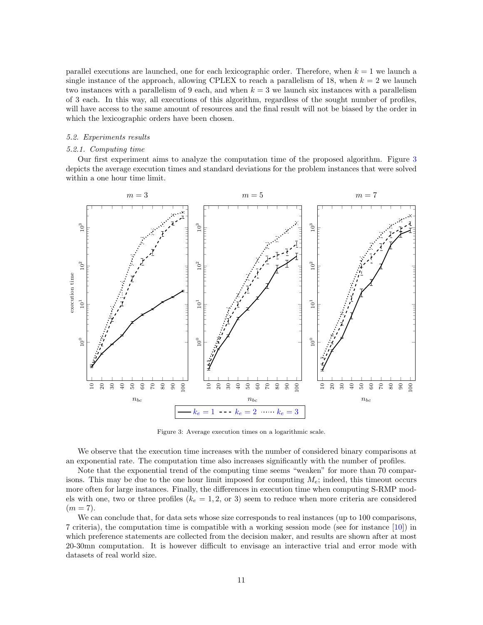parallel executions are launched, one for each lexicographic order. Therefore, when  $k = 1$  we launch a single instance of the approach, allowing CPLEX to reach a parallelism of 18, when  $k = 2$  we launch two instances with a parallelism of 9 each, and when  $k = 3$  we launch six instances with a parallelism of 3 each. In this way, all executions of this algorithm, regardless of the sought number of profiles, will have access to the same amount of resources and the final result will not be biased by the order in which the lexicographic orders have been chosen.

#### 5.2. Experiments results

## 5.2.1. Computing time

Our first experiment aims to analyze the computation time of the proposed algorithm. Figure 3 depicts the average execution times and standard deviations for the problem instances that were solved within a one hour time limit.



Figure 3: Average execution times on a logarithmic scale.

We observe that the execution time increases with the number of considered binary comparisons at an exponential rate. The computation time also increases significantly with the number of profiles.

Note that the exponential trend of the computing time seems "weaken" for more than 70 comparisons. This may be due to the one hour limit imposed for computing  $M_e$ ; indeed, this timeout occurs more often for large instances. Finally, the differences in execution time when computing S-RMP models with one, two or three profiles ( $k_e = 1, 2, \text{ or } 3$ ) seem to reduce when more criteria are considered  $(m = 7).$ 

We can conclude that, for data sets whose size corresponds to real instances (up to 100 comparisons, 7 criteria), the computation time is compatible with a working session mode (see for instance [10]) in which preference statements are collected from the decision maker, and results are shown after at most 20-30mn computation. It is however difficult to envisage an interactive trial and error mode with datasets of real world size.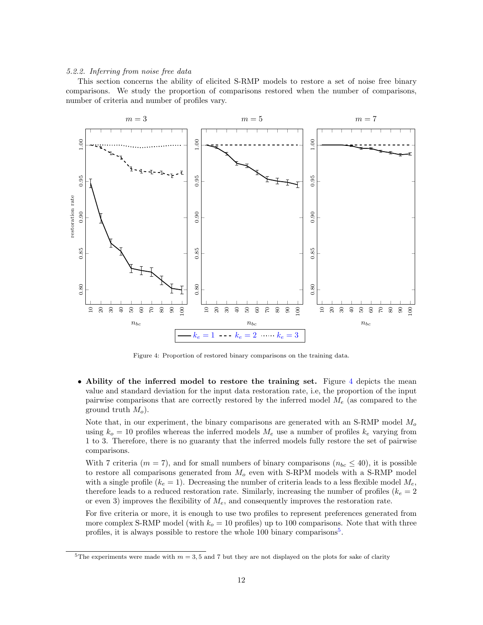#### 5.2.2. Inferring from noise free data

This section concerns the ability of elicited S-RMP models to restore a set of noise free binary comparisons. We study the proportion of comparisons restored when the number of comparisons, number of criteria and number of profiles vary.



Figure 4: Proportion of restored binary comparisons on the training data.

• Ability of the inferred model to restore the training set. Figure 4 depicts the mean value and standard deviation for the input data restoration rate, i.e, the proportion of the input pairwise comparisons that are correctly restored by the inferred model  $M_e$  (as compared to the ground truth  $M_o$ ).

Note that, in our experiment, the binary comparisons are generated with an S-RMP model  $M<sub>o</sub>$ using  $k_o = 10$  profiles whereas the inferred models  $M_e$  use a number of profiles  $k_e$  varying from 1 to 3. Therefore, there is no guaranty that the inferred models fully restore the set of pairwise comparisons.

With 7 criteria ( $m = 7$ ), and for small numbers of binary comparisons ( $n_{bc} \leq 40$ ), it is possible to restore all comparisons generated from  $M<sub>o</sub>$  even with S-RPM models with a S-RMP model with a single profile  $(k_e = 1)$ . Decreasing the number of criteria leads to a less flexible model  $M_e$ , therefore leads to a reduced restoration rate. Similarly, increasing the number of profiles ( $k_e = 2$ ) or even 3) improves the flexibility of  $M_e$ , and consequently improves the restoration rate.

For five criteria or more, it is enough to use two profiles to represent preferences generated from more complex S-RMP model (with  $k_o = 10$  profiles) up to 100 comparisons. Note that with three profiles, it is always possible to restore the whole 100 binary comparisons<sup>5</sup>.

<sup>&</sup>lt;sup>5</sup>The experiments were made with  $m = 3, 5$  and 7 but they are not displayed on the plots for sake of clarity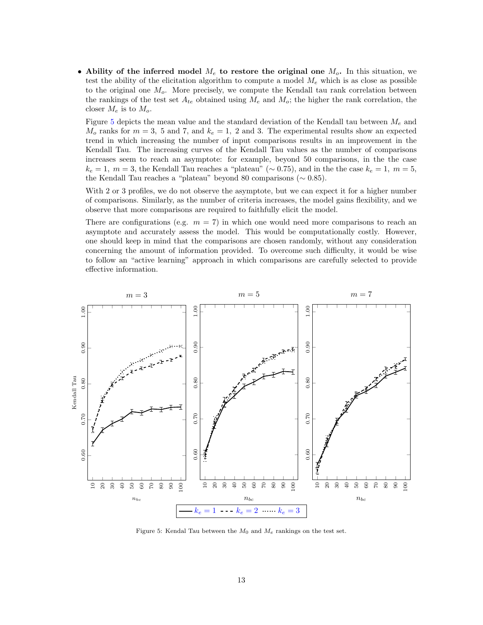• Ability of the inferred model  $M_e$  to restore the original one  $M_o$ . In this situation, we test the ability of the elicitation algorithm to compute a model  $M_e$  which is as close as possible to the original one  $M<sub>o</sub>$ . More precisely, we compute the Kendall tau rank correlation between the rankings of the test set  $A_{te}$  obtained using  $M_e$  and  $M_o$ ; the higher the rank correlation, the closer  $M_e$  is to  $M_o$ .

Figure 5 depicts the mean value and the standard deviation of the Kendall tau between  $M_e$  and  $M_o$  ranks for  $m = 3$ , 5 and 7, and  $k_e = 1$ , 2 and 3. The experimental results show an expected trend in which increasing the number of input comparisons results in an improvement in the Kendall Tau. The increasing curves of the Kendall Tau values as the number of comparisons increases seem to reach an asymptote: for example, beyond 50 comparisons, in the the case  $k_e = 1, m = 3$ , the Kendall Tau reaches a "plateau" (∼ 0.75), and in the the case  $k_e = 1, m = 5$ , the Kendall Tau reaches a "plateau" beyond 80 comparisons (∼ 0.85).

With 2 or 3 profiles, we do not observe the asymptote, but we can expect it for a higher number of comparisons. Similarly, as the number of criteria increases, the model gains flexibility, and we observe that more comparisons are required to faithfully elicit the model.

There are configurations (e.g.  $m = 7$ ) in which one would need more comparisons to reach an asymptote and accurately assess the model. This would be computationally costly. However, one should keep in mind that the comparisons are chosen randomly, without any consideration concerning the amount of information provided. To overcome such difficulty, it would be wise to follow an "active learning" approach in which comparisons are carefully selected to provide effective information.



Figure 5: Kendal Tau between the  $M_0$  and  $M_e$  rankings on the test set.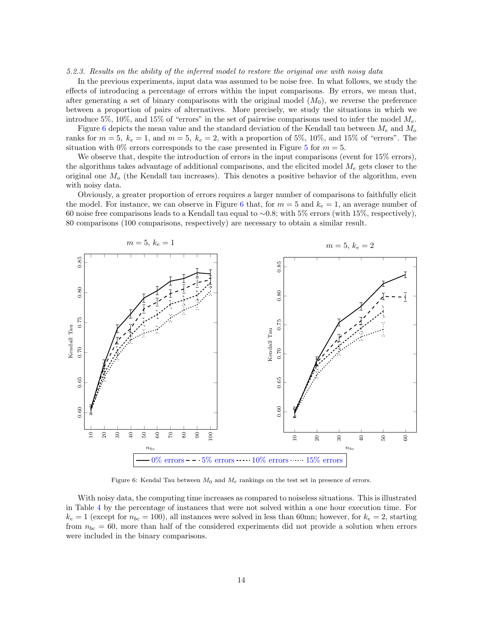#### 5.2.3. Results on the ability of the inferred model to restore the original one with noisy data

In the previous experiments, input data was assumed to be noise free. In what follows, we study the effects of introducing a percentage of errors within the input comparisons. By errors, we mean that, after generating a set of binary comparisons with the original model  $(M_0)$ , we reverse the preference between a proportion of pairs of alternatives. More precisely, we study the situations in which we introduce 5%, 10%, and 15% of "errors" in the set of pairwise comparisons used to infer the model  $M_e$ .

Figure 6 depicts the mean value and the standard deviation of the Kendall tau between  $M_e$  and  $M_o$ ranks for  $m = 5$ ,  $k_e = 1$ , and  $m = 5$ ,  $k_e = 2$ , with a proportion of 5%, 10%, and 15% of "errors". The situation with 0% errors corresponds to the case presented in Figure 5 for  $m = 5$ .

We observe that, despite the introduction of errors in the input comparisons (event for  $15\%$  errors), the algorithms takes advantage of additional comparisons, and the elicited model  $M_e$  gets closer to the original one  $M<sub>o</sub>$  (the Kendall tau increases). This denotes a positive behavior of the algorithm, even with noisy data.

Obviously, a greater proportion of errors requires a larger number of comparisons to faithfully elicit the model. For instance, we can observe in Figure 6 that, for  $m = 5$  and  $k_e = 1$ , an average number of 60 noise free comparisons leads to a Kendall tau equal to ∼0.8; with 5% errors (with 15%, respectively), 80 comparisons (100 comparisons, respectively) are necessary to obtain a similar result.



Figure 6: Kendal Tau between  $M_0$  and  $M_e$  rankings on the test set in presence of errors.

With noisy data, the computing time increases as compared to noiseless situations. This is illustrated in Table 4 by the percentage of instances that were not solved within a one hour execution time. For  $k_e = 1$  (except for  $n_{bc} = 100$ ), all instances were solved in less than 60mn; however, for  $k_e = 2$ , starting from  $n_{bc} = 60$ , more than half of the considered experiments did not provide a solution when errors were included in the binary comparisons.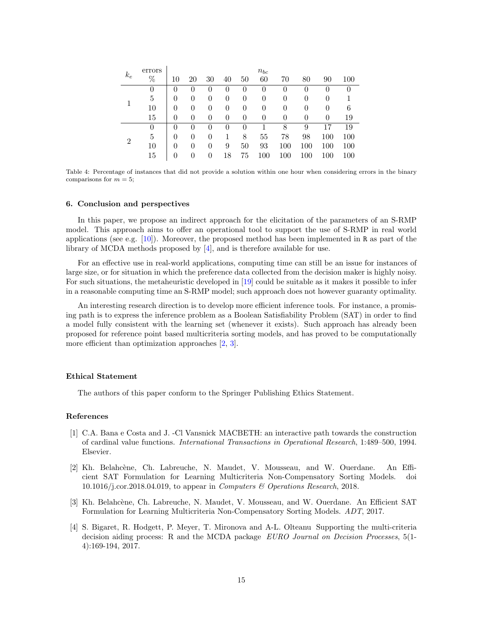| $k_e$          | errors |                  |          |          |        |          | $n_{bc}$ |          |          |          |         |
|----------------|--------|------------------|----------|----------|--------|----------|----------|----------|----------|----------|---------|
|                | $\%$   | 10               | 20       | 30       | 40     | 50       | 60       | 70       | 80       | 90       | 100     |
|                | 0      | $\left( \right)$ | $\theta$ | $^{()}$  | $_{0}$ | $\theta$ | $\theta$ | $\theta$ | 0        | $\theta$ | 0       |
|                | 5      | 0                | 0        | 0        | 0      | $\theta$ | 0        | $\theta$ | 0        | 0        |         |
|                | 10     | 0                | 0        | 0        | 0      | 0        | 0        | $\theta$ | 0        | 0        | 6       |
|                | 15     | 0                | 0        | 0        | 0      | $\theta$ | $\theta$ | $\theta$ | $\theta$ | $\Omega$ | 19      |
| $\overline{2}$ | 0      | $\left( \right)$ | 0        | $\theta$ | 0      | 0        |          | 8        | 9        | 17       | 19      |
|                | 5      | 0                | 0        | 0        |        | 8        | 55       | 78       | 98       | 100      | $100\,$ |
|                | 10     | $\left( \right)$ | 0        | $\theta$ | 9      | 50       | 93       | 100      | 100      | 100      | 100     |
|                | 15     |                  | 0        | 0        | 18     | 75       | $100\,$  | $100\,$  | $100\,$  | $100\,$  | $100\,$ |

Table 4: Percentage of instances that did not provide a solution within one hour when considering errors in the binary comparisons for  $m = 5$ ;

#### 6. Conclusion and perspectives

In this paper, we propose an indirect approach for the elicitation of the parameters of an S-RMP model. This approach aims to offer an operational tool to support the use of S-RMP in real world applications (see e.g. [10]). Moreover, the proposed method has been implemented in R as part of the library of MCDA methods proposed by [4], and is therefore available for use.

For an effective use in real-world applications, computing time can still be an issue for instances of large size, or for situation in which the preference data collected from the decision maker is highly noisy. For such situations, the metaheuristic developed in [19] could be suitable as it makes it possible to infer in a reasonable computing time an S-RMP model; such approach does not however guaranty optimality.

An interesting research direction is to develop more efficient inference tools. For instance, a promising path is to express the inference problem as a Boolean Satisfiability Problem (SAT) in order to find a model fully consistent with the learning set (whenever it exists). Such approach has already been proposed for reference point based multicriteria sorting models, and has proved to be computationally more efficient than optimization approaches [2, 3].

# Ethical Statement

The authors of this paper conform to the Springer Publishing Ethics Statement.

# References

- [1] C.A. Bana e Costa and J. -Cl Vansnick MACBETH: an interactive path towards the construction of cardinal value functions. International Transactions in Operational Research, 1:489–500, 1994. Elsevier.
- [2] Kh. Belahcène, Ch. Labreuche, N. Maudet, V. Mousseau, and W. Ouerdane. An Efficient SAT Formulation for Learning Multicriteria Non-Compensatory Sorting Models. doi 10.1016/j.cor.2018.04.019, to appear in Computers & Operations Research, 2018.
- [3] Kh. Belahcène, Ch. Labreuche, N. Maudet, V. Mousseau, and W. Ouerdane. An Efficient SAT Formulation for Learning Multicriteria Non-Compensatory Sorting Models. ADT, 2017.
- [4] S. Bigaret, R. Hodgett, P. Meyer, T. Mironova and A-L. Olteanu Supporting the multi-criteria decision aiding process: R and the MCDA package EURO Journal on Decision Processes, 5(1-4):169-194, 2017.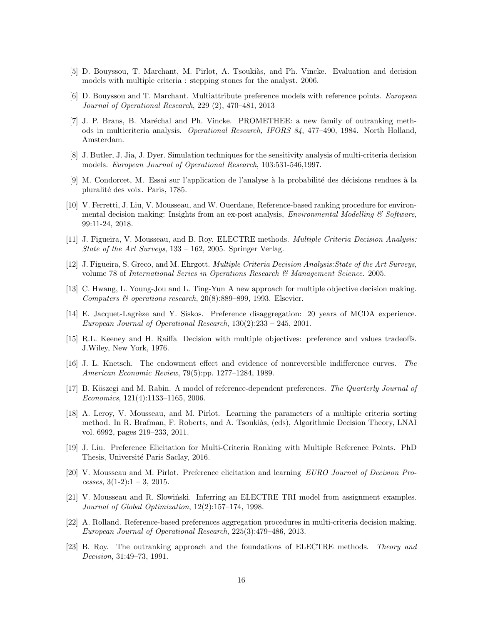- [5] D. Bouyssou, T. Marchant, M. Pirlot, A. Tsoukiàs, and Ph. Vincke. Evaluation and decision models with multiple criteria : stepping stones for the analyst. 2006.
- [6] D. Bouyssou and T. Marchant. Multiattribute preference models with reference points. European Journal of Operational Research, 229 (2), 470–481, 2013
- [7] J. P. Brans, B. Maréchal and Ph. Vincke. PROMETHEE: a new family of outranking methods in multicriteria analysis. Operational Research, IFORS 84, 477–490, 1984. North Holland, Amsterdam.
- [8] J. Butler, J. Jia, J. Dyer. Simulation techniques for the sensitivity analysis of multi-criteria decision models. European Journal of Operational Research, 103:531-546,1997.
- [9] M. Condorcet, M. Essai sur l'application de l'analyse à la probabilité des décisions rendues à la pluralité des voix. Paris, 1785.
- [10] V. Ferretti, J. Liu, V. Mousseau, and W. Ouerdane, Reference-based ranking procedure for environmental decision making: Insights from an ex-post analysis, *Environmental Modelling*  $\&$  Software, 99:11-24, 2018.
- [11] J. Figueira, V. Mousseau, and B. Roy. ELECTRE methods. Multiple Criteria Decision Analysis: State of the Art Surveys, 133 – 162, 2005. Springer Verlag.
- [12] J. Figueira, S. Greco, and M. Ehrgott. Multiple Criteria Decision Analysis:State of the Art Surveys, volume 78 of International Series in Operations Research & Management Science. 2005.
- [13] C. Hwang, L. Young-Jou and L. Ting-Yun A new approach for multiple objective decision making. Computers & operations research,  $20(8):889-899$ , 1993. Elsevier.
- [14] E. Jacquet-Lagrèze and Y. Siskos. Preference disaggregation: 20 years of MCDA experience. European Journal of Operational Research, 130(2):233 – 245, 2001.
- [15] R.L. Keeney and H. Raiffa Decision with multiple objectives: preference and values tradeoffs. J.Wiley, New York, 1976.
- [16] J. L. Knetsch. The endowment effect and evidence of nonreversible indifference curves. The American Economic Review, 79(5):pp. 1277–1284, 1989.
- [17] B. Köszegi and M. Rabin. A model of reference-dependent preferences. The Quarterly Journal of Economics, 121(4):1133–1165, 2006.
- [18] A. Leroy, V. Mousseau, and M. Pirlot. Learning the parameters of a multiple criteria sorting method. In R. Brafman, F. Roberts, and A. Tsoukiàs, (eds), Algorithmic Decision Theory, LNAI vol. 6992, pages 219–233, 2011.
- [19] J. Liu. Preference Elicitation for Multi-Criteria Ranking with Multiple Reference Points. PhD Thesis, Université Paris Saclay, 2016.
- [20] V. Mousseau and M. Pirlot. Preference elicitation and learning EURO Journal of Decision Processes,  $3(1-2):1-3$ , 2015.
- $[21]$  V. Mousseau and R. Slowiński. Inferring an ELECTRE TRI model from assignment examples. Journal of Global Optimization, 12(2):157–174, 1998.
- [22] A. Rolland. Reference-based preferences aggregation procedures in multi-criteria decision making. European Journal of Operational Research, 225(3):479–486, 2013.
- [23] B. Roy. The outranking approach and the foundations of ELECTRE methods. Theory and Decision, 31:49–73, 1991.